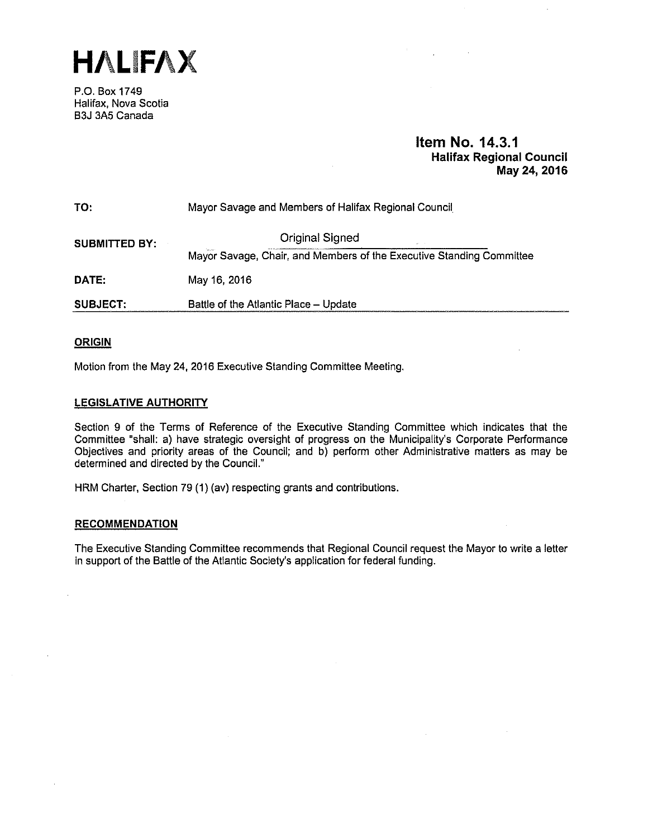**HALIFAX** 

P.O. Box 1749 Halifax, Nova Scotia B3J 3A5 Canada

# **Item No. 14.3.1 Halifax Regional Council May24, 2016**

TO: Mayor Savage and Members of Halifax Regional Council **SUBMITTED BY: CONSIDER A CONSIDER SUBMITTED BY:** Mayor Savage, Chair, and Members of the Executive Standing Committee **DATE:** May 16, 2016 **SUBJECT:** Battle of the Atlantic Place - Update

# **ORIGIN**

Motion from the May 24, 2016 Executive Standing Committee Meeting.

# **LEGISLATIVE AUTHORITY**

Section 9 of the Terms of Reference of the Executive Standing Committee which indicates that the Committee "shall: a) have strategic oversight of progress on the Municipality's Corporate Performance Objectives and priority areas of the Council; and b) perform other Administrative matters as may be determined and directed by the Council."

HRM Charter, Section 79 (1) (av) respecting grants and contributions.

# **RECOMMENDATION**

The Executive Standing Committee recommends that Regional Council request the Mayor to write a letter in support of the Battle of the Atlantic Society's application for federal funding.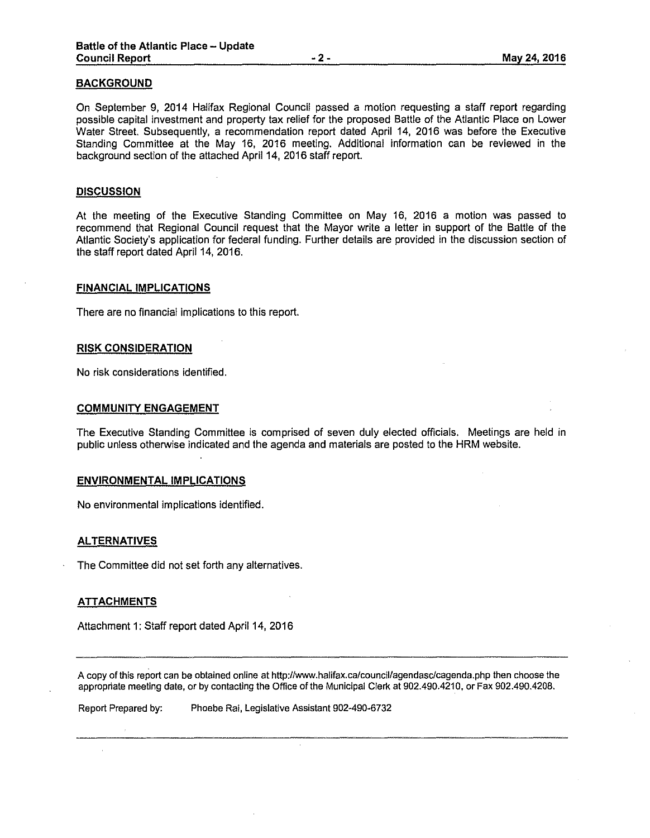# **BACKGROUND**

On September 9, 2014 Halifax Regional Council passed a motion requesting a staff report regarding possible capital investment and property tax relief for the proposed Battle of the Atlantic Place on Lower Water Street. Subsequently, a recommendation report dated April 14, 2016 was before the Executive Standing Committee at the May 16, 2016 meeting. Additional information can be reviewed in the background section of the attached April 14, 2016 staff report.

#### **DISCUSSION**

At the meeting of the Executive Standing Committee on May 16, 2016 a motion was passed to recommend that Regional Council request that the Mayor write a letter in support of lhe Battle of the Atlantic Society's application for federal funding. Further details are provided in the discussion section of the staff report dated April 14, 2016.

#### **FINANCIAL IMPLICATIONS**

There are no financial implications to this report.

#### **RISK CONSIDERATION**

No risk considerations identified.

## **COMMUNITY ENGAGEMENT**

The Executive Standing Committee is comprised of seven duly elected officials. Meetings are held in public unless otherwise indicated and the agenda and materials are posted to the HRM website.

#### **ENVIRONMENTAL IMPLICATIONS**

No environmental implications identified.

#### **ALTERNATIVES**

The Committee did not set forth any alternatives.

#### **ATTACHMENTS**

Attachment 1: Staff report dated April 14, 2016

A copy of this report can be obtained on line at http://www.halifax.ca/council/agendasc/cagenda.php then choose the appropriate meeting date, or by contacting the Office of the Municipal Clerk at 902.490.4210, or Fax 902.490.4208.

Report Prepared by: Phoebe Rai, Legislative Assistant 902-490-6732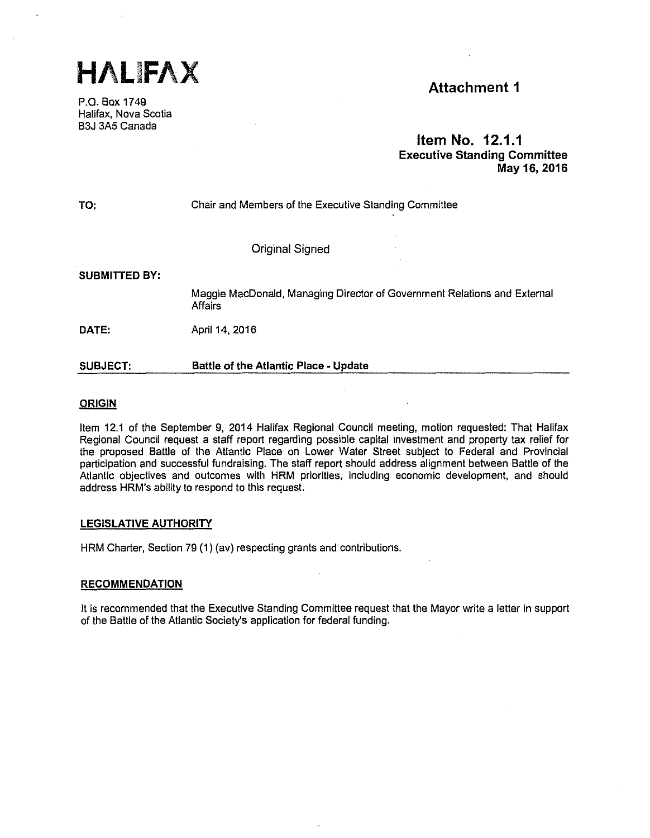

P.O. Bax 1749 Halifax, Nava Scotia B3J 3A5 Canada

# **Item No. 12.1.1 Executive Standing Committee May 16, 2016**

TO:

Chair and Members of the Executive Standing Committee

Original Signed

**SUBMITTED BY:** 

Maggie MacDonald, Managing Director of Government Relations and External **Affairs** 

**DATE:**  April 14, 2016

#### **SUBJECT: Battle of the Atlantic Place - Update**

# **ORIGIN**

Item 12.1 of the September 9, 2014 Halifax Regional Council meeting, motion requested: That Halifax Regional Council request a staff report regarding possible capital investment and property tax relief for the proposed Battle of the Atlantic Place on Lower Water Street subject to Federal and Provincial participation and successful fundraising. The staff report should address alignment between Battle of the Atlantic objectives and outcomes with HRM priorities, including economic development, and should address HRM's ability to respond to this request.

# **LEGISLATIVE AUTHORITY**

HRM Charter, Section 79 (1) (av) respecting grants and contributions.

# **RECOMMENDATION**

It is recommended that the Executive Standing Committee request that the Mayor write a letter in support of the Battle of the Atlantic Society's application for federal funding.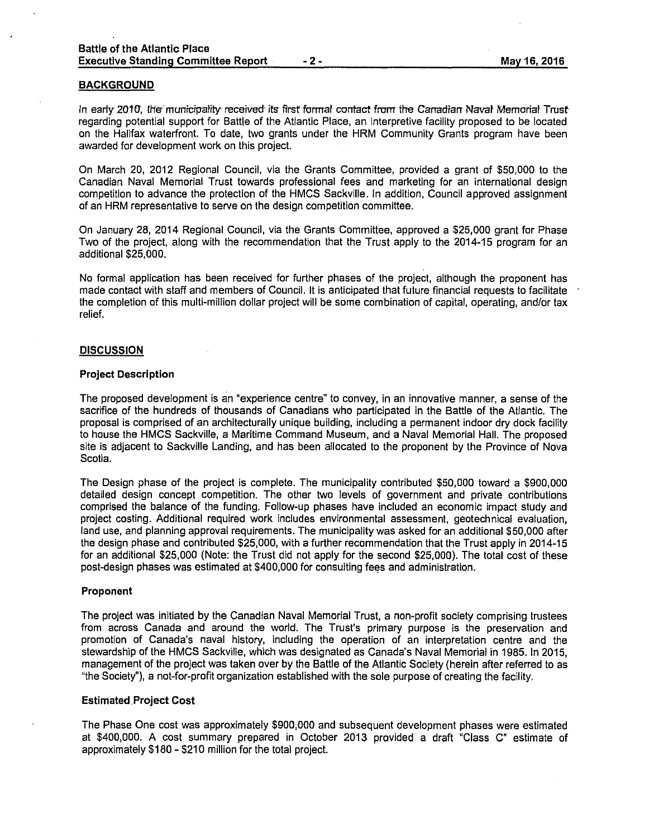## **BACKGROUND**

In early 2010, lhe' municipality received· ifs first formal contact from the Canadian Naval Memorial Trust regarding potential support for Battle of the Atlantic Place, an interpretive facility proposed to be located on the Halifax waterfront. To date, two grants under the HRM Community Grants program have been awarded for development work on this project.

On March 20, 2012 Regional Council, via the Grants Committee, provided a grant of \$50,000 to the Canadian Naval Memorial Trust towards professional fees and marketing for an international design competition to advance the protection of the HMCS Sackville. In addition, Council approved assignment of an HRM representative to serve on the design competition committee.

On January 28, 2014 Regional Council, via the Grants Committee, approved a \$25,000 grant for Phase Two of the project, along with the recommendation that the Trust apply to the 2014-15 program for an additional \$25,000.

No formal application has been received for further phases of the project, although the proponent has made contact with staff and members of Council. It is anticipated that future financial requests to facilitate the completion of this multi-million dollar project will be some combination of capital, operating, and/or tax relief.

# **DISCUSSION**

#### **Project Description**

The proposed development is an "experience centre" to convey, in an innovative manner, a sense of the sacrifice of the hundreds of thousands of Canadians who participated in the Battle of the Atlantic. The proposal is comprised of an architecturally unique building, including a permanent indoor dry dock facility to house the HMCS Sackville, a Maritime Command Museum, and a Naval Memorial Hall. The proposed site is adjacent to Sackville Landing, and has been allocated to the proponent by the Province of Nova Scotia.

The Design phase of the project is complete. The municipality contributed \$50,000 toward a \$900,000 detailed design concept competition. The other two levels of government and private contributions comprised the balance of the funding. Follow-up phases have included an economic impact study and project costing. Additional required work includes environmental assessment, geotechnical evaluation, land use, and planning approval requirements. The municipality was asked for an additional \$50,000 after the design phase and contributed \$25,000, with a further recommendation that the Trust apply in 2014-15 for an additional \$25,000 (Note: the Trust did not apply for the second \$25,000). The total cost of these post-design phases was estimated at \$400,000 for consulting fees and administration.

#### **Proponent**

The project was initiated by the Canadian Naval Memorial Trust, a non-profit society comprising trustees from across Canada and around the world. The Trust's primary purpose is the preservation and promotion of Canada's naval history, including the operation of an interpretation centre and the stewardship of the HMCS Sackville, which was designated as Canada's Naval Memorial in 1985. In 2015, management of the project was taken over by the Battle of the Atlantic Society (herein after referred to as "the Society"), a not-for-profit organization established with the sole purpose of creating the facility.

#### **Estimated Project Cost**

The Phase One cost was approximately \$900,000 and subsequent development phases were estimated at \$400,000. A cost summary prepared in October 2013 provided a draft "Class C" estimate of approximately \$180 - \$210 million for the total project.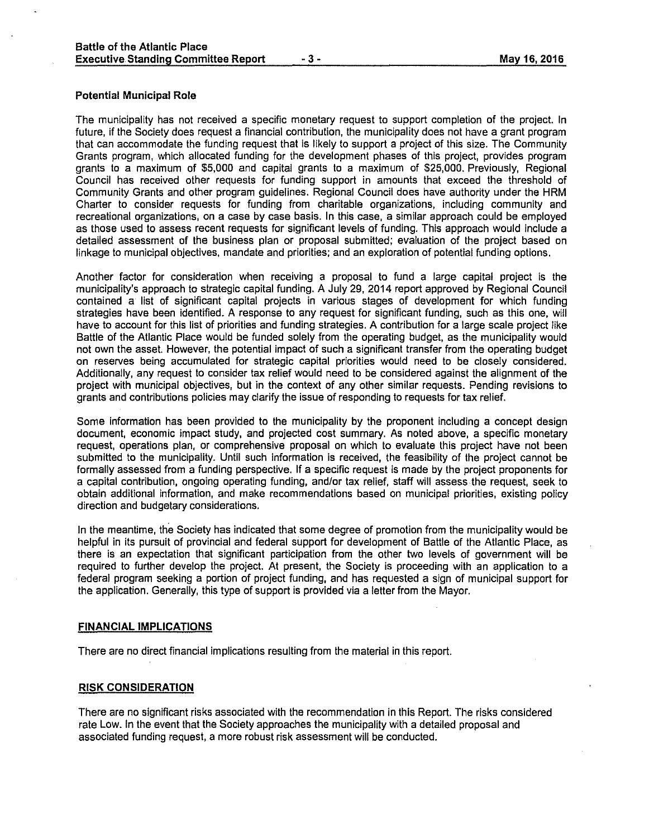# **Potential Municipal Role**

The municipality has not received a specific monetary request to support completion of the project. In future, if the Society does request a financial contribution, the municipality does not have a grant program that can accommodate the funding request that is likely to support a project of this size. The Community Grants program, which allocated funding for the development phases of this project, provides program grants to a maximum of \$5,000 and capital grants to a maximum of \$25,000. Previously, Regional Council has received other requests for funding support in amounts that exceed the threshold of Community Grants and other program guidelines. Regional Council does have authority under the HRM Charter to consider requests for funding from charitable organizations, including community and recreational organizations, on a case by case basis. In this case, a similar approach could be employed as those used to assess recent requests for significant levels of funding. This approach would include a detailed assessment of the business plan or proposal submitted; evaluation of the project based on linkage to municipal objectives, mandate and priorities; and an exploration of potential funding options.

Another factor for consideration when receiving a proposal to fund a large capital project is the municipality's approach to strategic capital funding. A July 29, 2014 report approved by Regional Council contained a list of significant capital projects in various stages of development for which funding strategies have been identified. A response to any request for significant funding, such as this one, will have to account for this list of priorities and funding strategies. A contribution for a large scale project like Battle of the Atlantic Place would be funded solely from the operating budget, as the municipality would not own the asset. However, the potential impact of such a significant transfer from the operating budget on reserves being accumulated for strategic capital priorities would need to be closely considered. Additionally, any request to consider tax relief would need to be considered against the alignment of the project with municipal objectives, but in the context of any other similar requests. Pending revisions to grants and contributions policies may clarify the issue of responding to requests for tax relief.

Some information has been provided to the municipality by the proponent including a concept design document, economic impact study, and projected cost summary. As noted above, a specific monetary request, operations plan, or comprehensive proposal on which to evaluate this project have not been submitted to the municipality. Until such information is received, the feasibility of the project cannot be formally assessed from a funding perspective. If a specific request is made by the project proponents for a capital contribution, ongoing operating funding, and/or tax relief, staff will assess the request, seek to obtain additional information, and make recommendations based on municipal priorities, existing policy direction and budgetary considerations.

In the meantime, the Society has indicated that some degree of promotion from the municipality would be helpful in its pursuit of provincial and federal support for development of Battle of the Atlantic Place, as there is an expectation that significant participation from the other two levels of government will be required to further develop the project. At present, the Society is proceeding with an application to a federal program seeking a portion of project funding, and has requested a sign of municipal support for the application. Generally, this type of support is provided via a letter from the Mayor.

#### **FINANCIAL IMPLICATIONS**

There are no direct financial implications resulting from the material in this report.

# **RISK CONSIDERATION**

There are no significant risks associated with the recommendation in this Report. The risks considered rate Low. In the event that the Society approaches the municipality with a detailed proposal and associated funding request, a more robust risk assessment will be conducted.